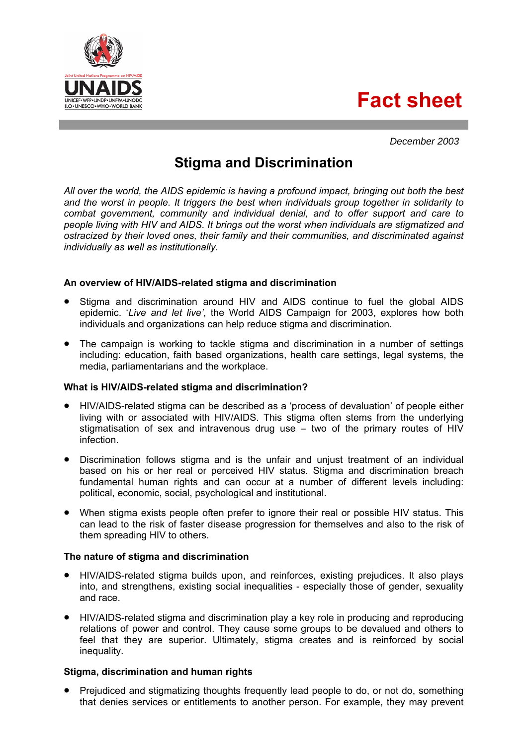**Fact sheet**



# **Stigma and Discrimination**

*All over the world, the AIDS epidemic is having a profound impact, bringing out both the best and the worst in people. It triggers the best when individuals group together in solidarity to combat government, community and individual denial, and to offer support and care to people living with HIV and AIDS. It brings out the worst when individuals are stigmatized and ostracized by their loved ones, their family and their communities, and discriminated against individually as well as institutionally.* 

# **An overview of HIV/AIDS-related stigma and discrimination**

- Stigma and discrimination around HIV and AIDS continue to fuel the global AIDS epidemic. '*Live and let live'*, the World AIDS Campaign for 2003, explores how both individuals and organizations can help reduce stigma and discrimination.
- The campaign is working to tackle stigma and discrimination in a number of settings including: education, faith based organizations, health care settings, legal systems, the media, parliamentarians and the workplace.

# **What is HIV/AIDS-related stigma and discrimination?**

- HIV/AIDS-related stigma can be described as a 'process of devaluation' of people either living with or associated with HIV/AIDS. This stigma often stems from the underlying stigmatisation of sex and intravenous drug use – two of the primary routes of HIV infection.
- Discrimination follows stigma and is the unfair and unjust treatment of an individual based on his or her real or perceived HIV status. Stigma and discrimination breach fundamental human rights and can occur at a number of different levels including: political, economic, social, psychological and institutional.
- When stigma exists people often prefer to ignore their real or possible HIV status. This can lead to the risk of faster disease progression for themselves and also to the risk of them spreading HIV to others.

# **The nature of stigma and discrimination**

- HIV/AIDS-related stigma builds upon, and reinforces, existing prejudices. It also plays into, and strengthens, existing social inequalities - especially those of gender, sexuality and race.
- HIV/AIDS-related stigma and discrimination play a key role in producing and reproducing relations of power and control. They cause some groups to be devalued and others to feel that they are superior. Ultimately, stigma creates and is reinforced by social inequality.

# **Stigma, discrimination and human rights**

• Prejudiced and stigmatizing thoughts frequently lead people to do, or not do, something that denies services or entitlements to another person. For example, they may prevent